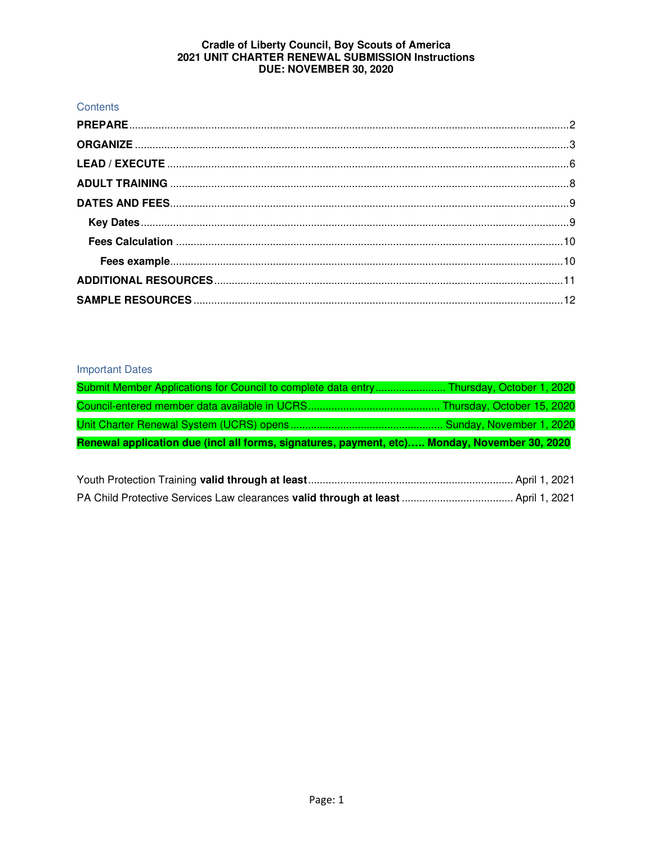## Contents

## **Important Dates**

| Submit Member Applications for Council to complete data entry Thursday, October 1, 2020      |  |
|----------------------------------------------------------------------------------------------|--|
|                                                                                              |  |
|                                                                                              |  |
| Renewal application due (incl all forms, signatures, payment, etc) Monday, November 30, 2020 |  |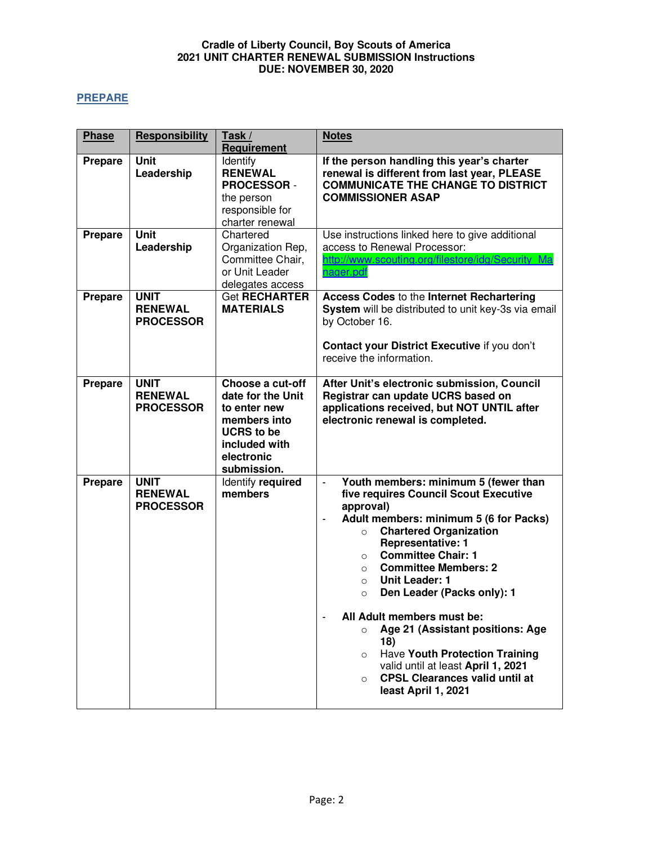## <span id="page-1-0"></span>**PREPARE**

| <b>Phase</b>   | Responsibility                                    | Task /<br>Requirement                                                                                                                    | <b>Notes</b>                                                                                                                                                                                                                                                                                                                                                                                                                                                                                                                                                                                                                                                      |  |
|----------------|---------------------------------------------------|------------------------------------------------------------------------------------------------------------------------------------------|-------------------------------------------------------------------------------------------------------------------------------------------------------------------------------------------------------------------------------------------------------------------------------------------------------------------------------------------------------------------------------------------------------------------------------------------------------------------------------------------------------------------------------------------------------------------------------------------------------------------------------------------------------------------|--|
| <b>Prepare</b> | <b>Unit</b><br>Leadership                         | Identify<br><b>RENEWAL</b><br><b>PROCESSOR -</b><br>the person<br>responsible for<br>charter renewal                                     | If the person handling this year's charter<br>renewal is different from last year, PLEASE<br><b>COMMUNICATE THE CHANGE TO DISTRICT</b><br><b>COMMISSIONER ASAP</b>                                                                                                                                                                                                                                                                                                                                                                                                                                                                                                |  |
| <b>Prepare</b> | <b>Unit</b><br>Leadership                         | Chartered<br>Organization Rep,<br>Committee Chair,<br>or Unit Leader<br>delegates access                                                 | Use instructions linked here to give additional<br>access to Renewal Processor:<br>http://www.scouting.org/filestore/idg/Security Ma<br>nager.pdf                                                                                                                                                                                                                                                                                                                                                                                                                                                                                                                 |  |
| <b>Prepare</b> | <b>UNIT</b><br><b>RENEWAL</b><br><b>PROCESSOR</b> | <b>Get RECHARTER</b><br><b>MATERIALS</b>                                                                                                 | <b>Access Codes to the Internet Rechartering</b><br>System will be distributed to unit key-3s via email<br>by October 16.<br>Contact your District Executive if you don't<br>receive the information.                                                                                                                                                                                                                                                                                                                                                                                                                                                             |  |
| Prepare        | <b>UNIT</b><br><b>RENEWAL</b><br><b>PROCESSOR</b> | Choose a cut-off<br>date for the Unit<br>to enter new<br>members into<br><b>UCRS</b> to be<br>included with<br>electronic<br>submission. | After Unit's electronic submission, Council<br>Registrar can update UCRS based on<br>applications received, but NOT UNTIL after<br>electronic renewal is completed.                                                                                                                                                                                                                                                                                                                                                                                                                                                                                               |  |
| <b>Prepare</b> | <b>UNIT</b><br><b>RENEWAL</b><br><b>PROCESSOR</b> | Identify required<br>members                                                                                                             | Youth members: minimum 5 (fewer than<br>$\blacksquare$<br>five requires Council Scout Executive<br>approval)<br>Adult members: minimum 5 (6 for Packs)<br>$\blacksquare$<br><b>Chartered Organization</b><br>$\circ$<br><b>Representative: 1</b><br><b>Committee Chair: 1</b><br>$\circ$<br><b>Committee Members: 2</b><br>$\circ$<br><b>Unit Leader: 1</b><br>$\circ$<br>Den Leader (Packs only): 1<br>$\circ$<br>All Adult members must be:<br>Age 21 (Assistant positions: Age<br>$\circ$<br>18)<br>Have Youth Protection Training<br>$\circ$<br>valid until at least April 1, 2021<br><b>CPSL Clearances valid until at</b><br>$\circ$<br>least April 1, 2021 |  |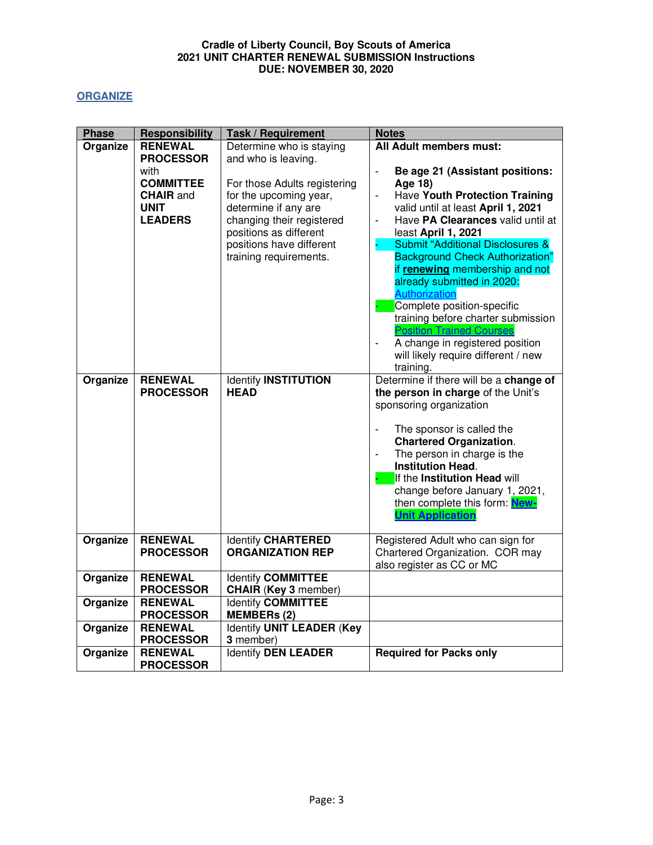## <span id="page-2-0"></span>**ORGANIZE**

| <b>Phase</b> | <b>Responsibility</b>              | <b>Task / Requirement</b>                                                                                 | <b>Notes</b>                                                                                                                                                                                                                                                                                                                                                                                                                          |
|--------------|------------------------------------|-----------------------------------------------------------------------------------------------------------|---------------------------------------------------------------------------------------------------------------------------------------------------------------------------------------------------------------------------------------------------------------------------------------------------------------------------------------------------------------------------------------------------------------------------------------|
| Organize     | <b>RENEWAL</b>                     | Determine who is staying                                                                                  | All Adult members must:                                                                                                                                                                                                                                                                                                                                                                                                               |
|              | <b>PROCESSOR</b>                   | and who is leaving.                                                                                       |                                                                                                                                                                                                                                                                                                                                                                                                                                       |
|              | with<br><b>COMMITTEE</b>           |                                                                                                           | Be age 21 (Assistant positions:<br>$\frac{1}{2}$                                                                                                                                                                                                                                                                                                                                                                                      |
|              | <b>CHAIR</b> and                   | For those Adults registering<br>for the upcoming year,                                                    | Age 18)<br>Have Youth Protection Training<br>$\overline{\phantom{a}}$                                                                                                                                                                                                                                                                                                                                                                 |
|              | <b>UNIT</b>                        | determine if any are                                                                                      | valid until at least April 1, 2021                                                                                                                                                                                                                                                                                                                                                                                                    |
|              | <b>LEADERS</b>                     | changing their registered<br>positions as different<br>positions have different<br>training requirements. | Have PA Clearances valid until at<br>$\blacksquare$<br>least April 1, 2021<br><b>Submit "Additional Disclosures &amp;</b><br><b>Background Check Authorization"</b><br>if renewing membership and not<br>already submitted in 2020:<br>Authorization<br>Complete position-specific<br>training before charter submission<br><b>Position Trained Courses</b><br>A change in registered position<br>will likely require different / new |
|              |                                    |                                                                                                           | training.                                                                                                                                                                                                                                                                                                                                                                                                                             |
| Organize     | <b>RENEWAL</b><br><b>PROCESSOR</b> | <b>Identify INSTITUTION</b><br><b>HEAD</b>                                                                | Determine if there will be a change of<br>the person in charge of the Unit's<br>sponsoring organization<br>The sponsor is called the<br>$\overline{a}$<br><b>Chartered Organization.</b><br>The person in charge is the<br><b>Institution Head.</b><br>If the Institution Head will<br>change before January 1, 2021,<br>then complete this form: New-<br><b>Unit Application</b>                                                     |
| Organize     | <b>RENEWAL</b><br><b>PROCESSOR</b> | <b>Identify CHARTERED</b><br><b>ORGANIZATION REP</b>                                                      | Registered Adult who can sign for<br>Chartered Organization. COR may<br>also register as CC or MC                                                                                                                                                                                                                                                                                                                                     |
| Organize     | <b>RENEWAL</b>                     | Identify COMMITTEE                                                                                        |                                                                                                                                                                                                                                                                                                                                                                                                                                       |
|              | <b>PROCESSOR</b>                   | <b>CHAIR (Key 3 member)</b>                                                                               |                                                                                                                                                                                                                                                                                                                                                                                                                                       |
| Organize     | <b>RENEWAL</b><br><b>PROCESSOR</b> | <b>Identify COMMITTEE</b><br><b>MEMBERs (2)</b>                                                           |                                                                                                                                                                                                                                                                                                                                                                                                                                       |
| Organize     | <b>RENEWAL</b>                     | <b>Identify UNIT LEADER (Key</b>                                                                          |                                                                                                                                                                                                                                                                                                                                                                                                                                       |
|              | <b>PROCESSOR</b>                   | 3 member)                                                                                                 |                                                                                                                                                                                                                                                                                                                                                                                                                                       |
| Organize     | <b>RENEWAL</b>                     | <b>Identify DEN LEADER</b>                                                                                | <b>Required for Packs only</b>                                                                                                                                                                                                                                                                                                                                                                                                        |
|              | <b>PROCESSOR</b>                   |                                                                                                           |                                                                                                                                                                                                                                                                                                                                                                                                                                       |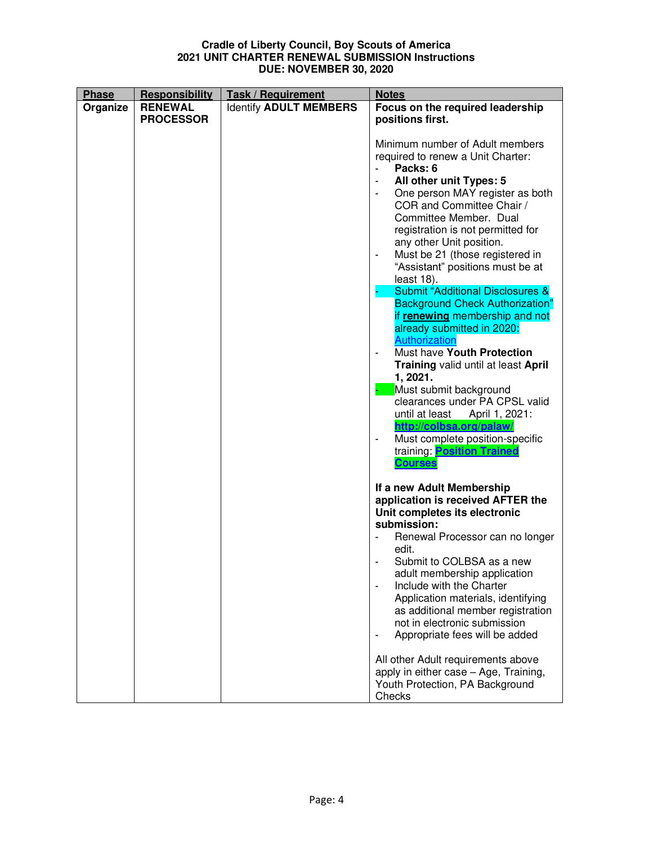| <b>Phase</b> | Responsibility   | <b>Task / Requirement</b>     | <b>Notes</b>                                                                                                                                                                                                                                     |
|--------------|------------------|-------------------------------|--------------------------------------------------------------------------------------------------------------------------------------------------------------------------------------------------------------------------------------------------|
| Organize     | <b>RENEWAL</b>   | <b>Identify ADULT MEMBERS</b> | Focus on the required leadership                                                                                                                                                                                                                 |
|              | <b>PROCESSOR</b> |                               | positions first.                                                                                                                                                                                                                                 |
|              |                  |                               |                                                                                                                                                                                                                                                  |
|              |                  |                               | Minimum number of Adult members                                                                                                                                                                                                                  |
|              |                  |                               | required to renew a Unit Charter:                                                                                                                                                                                                                |
|              |                  |                               | Packs: 6                                                                                                                                                                                                                                         |
|              |                  |                               | All other unit Types: 5                                                                                                                                                                                                                          |
|              |                  |                               | One person MAY register as both<br>COR and Committee Chair /<br>Committee Member. Dual<br>registration is not permitted for<br>any other Unit position.<br>Must be 21 (those registered in<br>$\blacksquare$<br>"Assistant" positions must be at |
|              |                  |                               |                                                                                                                                                                                                                                                  |
|              |                  |                               | least 18).<br><b>Submit "Additional Disclosures &amp;</b>                                                                                                                                                                                        |
|              |                  |                               | <b>Background Check Authorization"</b>                                                                                                                                                                                                           |
|              |                  |                               | if renewing membership and not                                                                                                                                                                                                                   |
|              |                  |                               | already submitted in 2020:                                                                                                                                                                                                                       |
|              |                  |                               | Authorization                                                                                                                                                                                                                                    |
|              |                  |                               | Must have Youth Protection                                                                                                                                                                                                                       |
|              |                  |                               | Training valid until at least April<br>1, 2021.                                                                                                                                                                                                  |
|              |                  |                               | Must submit background                                                                                                                                                                                                                           |
|              |                  |                               | clearances under PA CPSL valid                                                                                                                                                                                                                   |
|              |                  |                               | until at least April 1, 2021:<br>http://colbsa.org/palaw/                                                                                                                                                                                        |
|              |                  |                               | Must complete position-specific<br>training: <b>Position Trained</b>                                                                                                                                                                             |
|              |                  |                               | <b>Courses</b>                                                                                                                                                                                                                                   |
|              |                  |                               | If a new Adult Membership                                                                                                                                                                                                                        |
|              |                  |                               | application is received AFTER the                                                                                                                                                                                                                |
|              |                  |                               | Unit completes its electronic                                                                                                                                                                                                                    |
|              |                  |                               | submission:                                                                                                                                                                                                                                      |
|              |                  |                               | Renewal Processor can no longer<br>edit.                                                                                                                                                                                                         |
|              |                  |                               | Submit to COLBSA as a new                                                                                                                                                                                                                        |
|              |                  |                               | adult membership application                                                                                                                                                                                                                     |
|              |                  |                               | Include with the Charter<br>$\qquad \qquad \blacksquare$                                                                                                                                                                                         |
|              |                  |                               | Application materials, identifying                                                                                                                                                                                                               |
|              |                  |                               | as additional member registration                                                                                                                                                                                                                |
|              |                  |                               | not in electronic submission<br>Appropriate fees will be added                                                                                                                                                                                   |
|              |                  |                               |                                                                                                                                                                                                                                                  |
|              |                  |                               | All other Adult requirements above                                                                                                                                                                                                               |
|              |                  |                               | apply in either case - Age, Training,                                                                                                                                                                                                            |
|              |                  |                               | Youth Protection, PA Background<br>Checks                                                                                                                                                                                                        |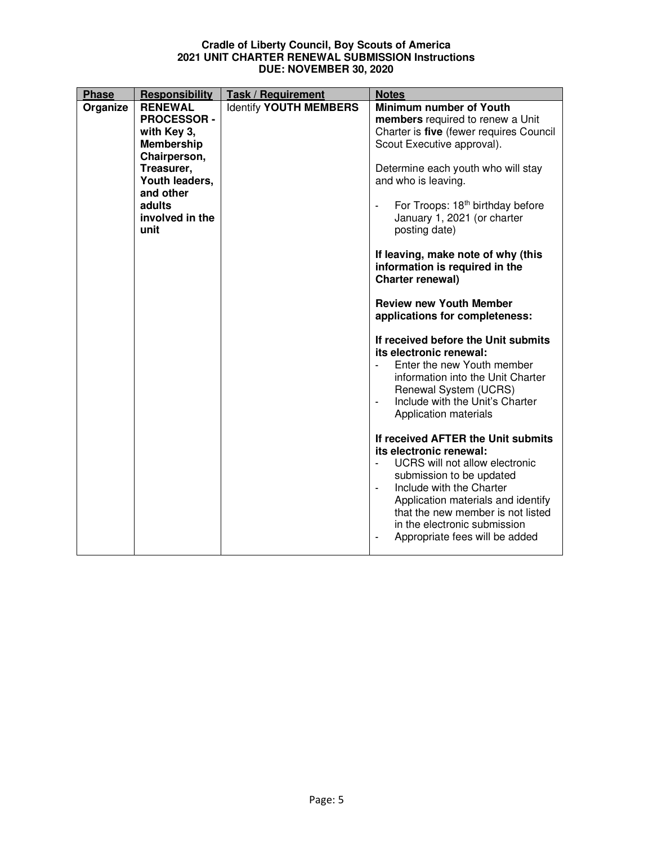| <b>Phase</b> | Responsibility     | <b>Task / Requirement</b>     | <b>Notes</b>                                                    |
|--------------|--------------------|-------------------------------|-----------------------------------------------------------------|
| Organize     | <b>RENEWAL</b>     | <b>Identify YOUTH MEMBERS</b> | Minimum number of Youth                                         |
|              | <b>PROCESSOR -</b> |                               | members required to renew a Unit                                |
|              | with Key 3,        |                               | Charter is five (fewer requires Council                         |
|              | Membership         |                               | Scout Executive approval).                                      |
|              | Chairperson,       |                               |                                                                 |
|              | Treasurer,         |                               | Determine each youth who will stay                              |
|              | Youth leaders,     |                               | and who is leaving.                                             |
|              | and other          |                               |                                                                 |
|              | adults             |                               | For Troops: 18 <sup>th</sup> birthday before<br>$\blacksquare$  |
|              | involved in the    |                               | January 1, 2021 (or charter                                     |
|              | unit               |                               | posting date)                                                   |
|              |                    |                               |                                                                 |
|              |                    |                               | If leaving, make note of why (this                              |
|              |                    |                               | information is required in the                                  |
|              |                    |                               | Charter renewal)                                                |
|              |                    |                               | <b>Review new Youth Member</b>                                  |
|              |                    |                               | applications for completeness:                                  |
|              |                    |                               |                                                                 |
|              |                    |                               | If received before the Unit submits<br>its electronic renewal:  |
|              |                    |                               | Enter the new Youth member<br>information into the Unit Charter |
|              |                    |                               | Renewal System (UCRS)                                           |
|              |                    |                               | Include with the Unit's Charter<br>$\blacksquare$               |
|              |                    |                               | Application materials                                           |
|              |                    |                               |                                                                 |
|              |                    |                               | If received AFTER the Unit submits                              |
|              |                    |                               | its electronic renewal:                                         |
|              |                    |                               | UCRS will not allow electronic                                  |
|              |                    |                               | submission to be updated                                        |
|              |                    |                               | Include with the Charter<br>$\overline{\phantom{a}}$            |
|              |                    |                               | Application materials and identify                              |
|              |                    |                               | that the new member is not listed                               |
|              |                    |                               | in the electronic submission                                    |
|              |                    |                               | Appropriate fees will be added                                  |
|              |                    |                               |                                                                 |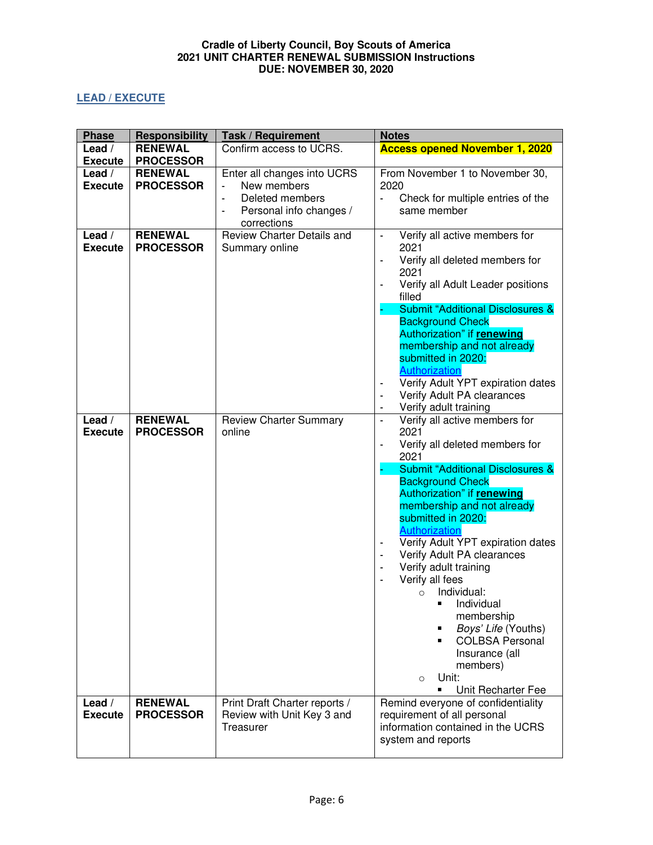# <span id="page-5-0"></span>**LEAD / EXECUTE**

| <b>Phase</b>             | <b>Responsibility</b>              | <b>Task / Requirement</b>                                                                               | <b>Notes</b>                                                                                                                                                                                                                                                                                                                                                                                                                                                                                                                                                                                |
|--------------------------|------------------------------------|---------------------------------------------------------------------------------------------------------|---------------------------------------------------------------------------------------------------------------------------------------------------------------------------------------------------------------------------------------------------------------------------------------------------------------------------------------------------------------------------------------------------------------------------------------------------------------------------------------------------------------------------------------------------------------------------------------------|
| Lead /                   | <b>RENEWAL</b>                     | Confirm access to UCRS.                                                                                 | <b>Access opened November 1, 2020</b>                                                                                                                                                                                                                                                                                                                                                                                                                                                                                                                                                       |
| <b>Execute</b>           | <b>PROCESSOR</b>                   |                                                                                                         |                                                                                                                                                                                                                                                                                                                                                                                                                                                                                                                                                                                             |
| Lead /<br><b>Execute</b> | <b>RENEWAL</b><br><b>PROCESSOR</b> | Enter all changes into UCRS<br>New members<br>Deleted members<br>Personal info changes /<br>corrections | From November 1 to November 30,<br>2020<br>Check for multiple entries of the<br>same member                                                                                                                                                                                                                                                                                                                                                                                                                                                                                                 |
| Lead /<br><b>Execute</b> | <b>RENEWAL</b><br><b>PROCESSOR</b> | Review Charter Details and<br>Summary online                                                            | Verify all active members for<br>2021<br>Verify all deleted members for<br>2021<br>Verify all Adult Leader positions<br>filled<br><b>Submit "Additional Disclosures &amp;</b><br><b>Background Check</b><br>Authorization" if renewing<br>membership and not already<br>submitted in 2020:<br>Authorization<br>Verify Adult YPT expiration dates<br>Verify Adult PA clearances<br>Verify adult training                                                                                                                                                                                     |
| Lead /<br><b>Execute</b> | <b>RENEWAL</b><br><b>PROCESSOR</b> | <b>Review Charter Summary</b><br>online                                                                 | Verify all active members for<br>2021<br>Verify all deleted members for<br>$\overline{\phantom{0}}$<br>2021<br><b>Submit "Additional Disclosures &amp;</b><br><b>Background Check</b><br>Authorization" if renewing<br>membership and not already<br>submitted in 2020:<br>Authorization<br>Verify Adult YPT expiration dates<br>Verify Adult PA clearances<br>Verify adult training<br>Verify all fees<br>Individual:<br>$\circ$<br>Individual<br>membership<br>Boys' Life (Youths)<br><b>COLBSA Personal</b><br>Insurance (all<br>members)<br>Unit:<br>$\circ$<br>Unit Recharter Fee<br>п |
| Lead /<br><b>Execute</b> | <b>RENEWAL</b><br><b>PROCESSOR</b> | Print Draft Charter reports /<br>Review with Unit Key 3 and<br>Treasurer                                | Remind everyone of confidentiality<br>requirement of all personal<br>information contained in the UCRS<br>system and reports                                                                                                                                                                                                                                                                                                                                                                                                                                                                |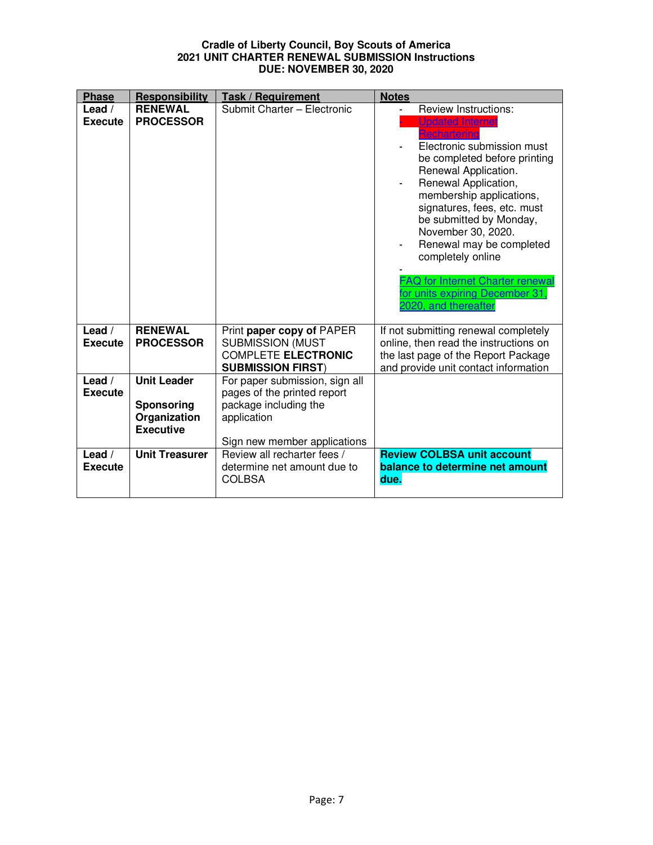| <b>Phase</b>               | Responsibility                                                       | <b>Task / Requirement</b>                                                                                                             | <b>Notes</b>                                                                                                                                                                                                                                                                                                                                                                                                                                            |
|----------------------------|----------------------------------------------------------------------|---------------------------------------------------------------------------------------------------------------------------------------|---------------------------------------------------------------------------------------------------------------------------------------------------------------------------------------------------------------------------------------------------------------------------------------------------------------------------------------------------------------------------------------------------------------------------------------------------------|
| Lead $/$<br><b>Execute</b> | <b>RENEWAL</b><br><b>PROCESSOR</b>                                   | Submit Charter - Electronic                                                                                                           | <b>Review Instructions:</b><br><b>Updated Internet</b><br>Rechartering<br>Electronic submission must<br>be completed before printing<br>Renewal Application.<br>Renewal Application,<br>membership applications,<br>signatures, fees, etc. must<br>be submitted by Monday,<br>November 30, 2020.<br>Renewal may be completed<br>completely online<br><b>FAQ for Internet Charter renewal</b><br>for units expiring December 31.<br>2020, and thereafter |
| Lead $/$<br><b>Execute</b> | <b>RENEWAL</b><br><b>PROCESSOR</b>                                   | Print paper copy of PAPER<br><b>SUBMISSION (MUST</b><br><b>COMPLETE ELECTRONIC</b><br><b>SUBMISSION FIRST)</b>                        | If not submitting renewal completely<br>online, then read the instructions on<br>the last page of the Report Package<br>and provide unit contact information                                                                                                                                                                                                                                                                                            |
| Lead $/$<br><b>Execute</b> | <b>Unit Leader</b><br>Sponsoring<br>Organization<br><b>Executive</b> | For paper submission, sign all<br>pages of the printed report<br>package including the<br>application<br>Sign new member applications |                                                                                                                                                                                                                                                                                                                                                                                                                                                         |
| Lead $/$<br><b>Execute</b> | <b>Unit Treasurer</b>                                                | Review all recharter fees /<br>determine net amount due to<br><b>COLBSA</b>                                                           | <b>Review COLBSA unit account</b><br>balance to determine net amount<br>due.                                                                                                                                                                                                                                                                                                                                                                            |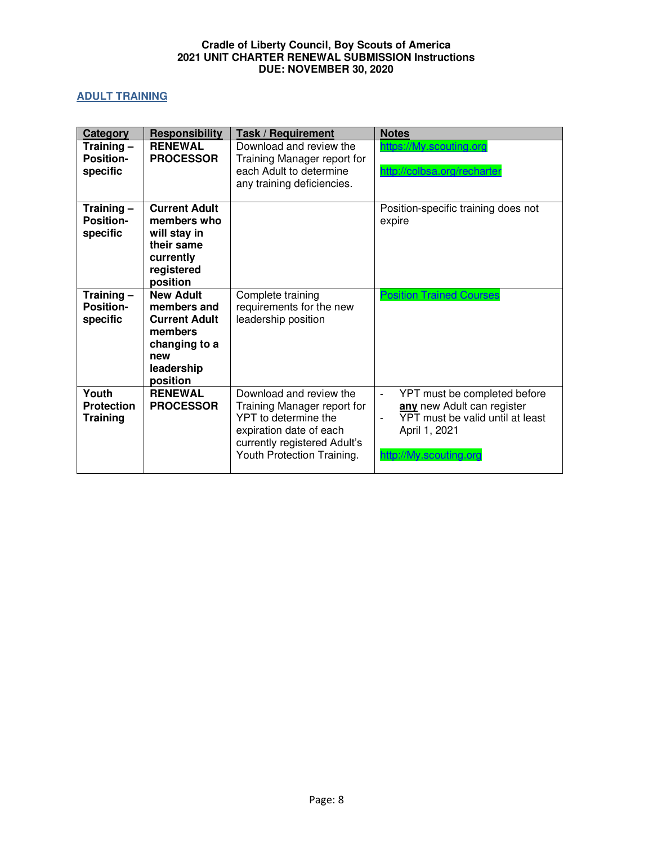# <span id="page-7-0"></span>**ADULT TRAINING**

| Category                                      | <b>Responsibility</b>                                                                                                | Task / Requirement                                                                                                                                                      | <b>Notes</b>                                                                                                                                                |
|-----------------------------------------------|----------------------------------------------------------------------------------------------------------------------|-------------------------------------------------------------------------------------------------------------------------------------------------------------------------|-------------------------------------------------------------------------------------------------------------------------------------------------------------|
| Training -<br><b>Position-</b><br>specific    | <b>RENEWAL</b><br><b>PROCESSOR</b>                                                                                   | Download and review the<br>Training Manager report for<br>each Adult to determine<br>any training deficiencies.                                                         | https://My.scouting.org<br>http://colbsa.org/recharter                                                                                                      |
| Training-<br><b>Position-</b><br>specific     | <b>Current Adult</b><br>members who<br>will stay in<br>their same<br>currently<br>registered<br>position             |                                                                                                                                                                         | Position-specific training does not<br>expire                                                                                                               |
| Training $-$<br><b>Position-</b><br>specific  | <b>New Adult</b><br>members and<br><b>Current Adult</b><br>members<br>changing to a<br>new<br>leadership<br>position | Complete training<br>requirements for the new<br>leadership position                                                                                                    | <b>Position Trained Courses</b>                                                                                                                             |
| Youth<br><b>Protection</b><br><b>Training</b> | <b>RENEWAL</b><br><b>PROCESSOR</b>                                                                                   | Download and review the<br>Training Manager report for<br>YPT to determine the<br>expiration date of each<br>currently registered Adult's<br>Youth Protection Training. | YPT must be completed before<br>any new Adult can register<br>YPT must be valid until at least<br>$\blacksquare$<br>April 1, 2021<br>http://My.scouting.org |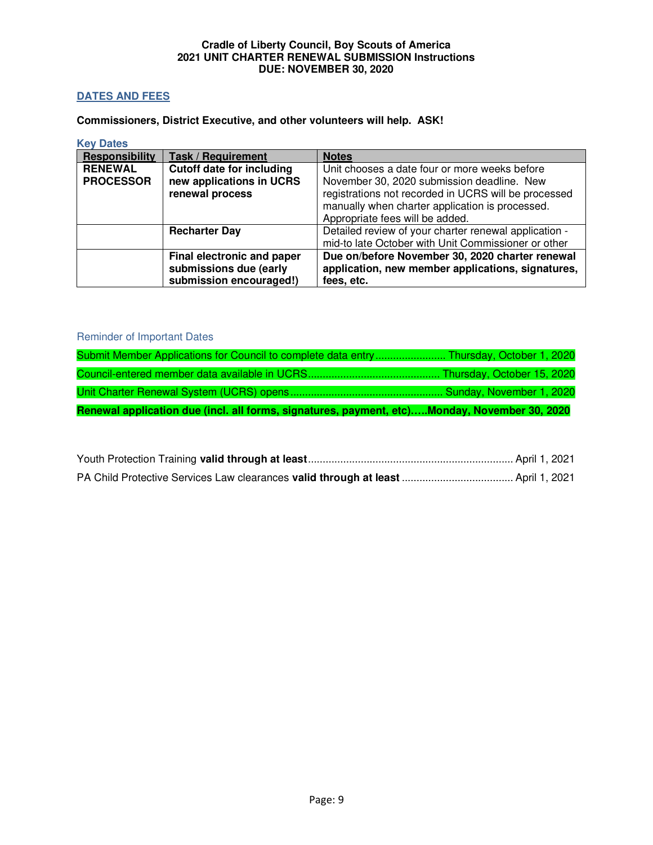## <span id="page-8-0"></span>**DATES AND FEES**

**Commissioners, District Executive, and other volunteers will help. ASK!** 

<span id="page-8-1"></span>**Key Dates** 

| <b>Responsibility</b> | <b>Task / Requirement</b>        | <b>Notes</b>                                                                       |
|-----------------------|----------------------------------|------------------------------------------------------------------------------------|
| <b>RENEWAL</b>        | <b>Cutoff date for including</b> | Unit chooses a date four or more weeks before                                      |
| <b>PROCESSOR</b>      | new applications in UCRS         | November 30, 2020 submission deadline. New                                         |
|                       | renewal process                  | registrations not recorded in UCRS will be processed                               |
|                       |                                  | manually when charter application is processed.<br>Appropriate fees will be added. |
|                       |                                  |                                                                                    |
|                       | <b>Recharter Day</b>             | Detailed review of your charter renewal application -                              |
|                       |                                  | mid-to late October with Unit Commissioner or other                                |
|                       | Final electronic and paper       | Due on/before November 30, 2020 charter renewal                                    |
|                       | submissions due (early           | application, new member applications, signatures,                                  |
|                       | submission encouraged!)          | fees, etc.                                                                         |

## Reminder of Important Dates

| Renewal application due (incl. all forms, signatures, payment, etc)Monday, November 30, 2020 |                            |
|----------------------------------------------------------------------------------------------|----------------------------|
|                                                                                              |                            |
|                                                                                              | Thursday, October 15, 2020 |
| Submit Member Applications for Council to complete data entry Thursday, October 1, 2020      |                            |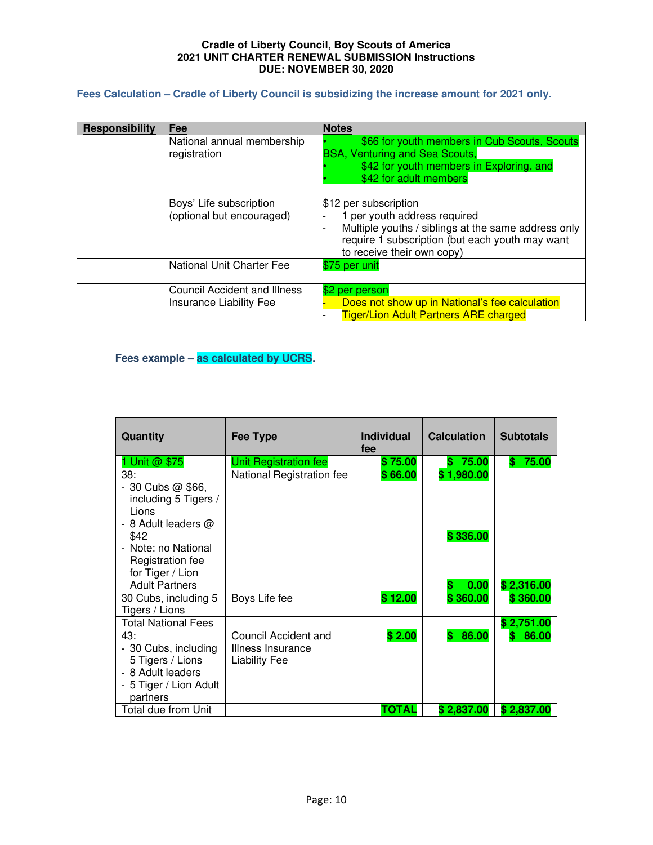## <span id="page-9-0"></span>**Fees Calculation – Cradle of Liberty Council is subsidizing the increase amount for 2021 only.**

| Responsibility | Fee                                                                   | <b>Notes</b>                                                                                                                                                                                                    |
|----------------|-----------------------------------------------------------------------|-----------------------------------------------------------------------------------------------------------------------------------------------------------------------------------------------------------------|
|                | National annual membership<br>registration                            | \$66 for youth members in Cub Scouts, Scouts<br><b>BSA, Venturing and Sea Scouts,</b><br>\$42 for youth members in Exploring, and<br>\$42 for adult members                                                     |
|                | Boys' Life subscription<br>(optional but encouraged)                  | \$12 per subscription<br>1 per youth address required<br>Multiple youths / siblings at the same address only<br>$\blacksquare$<br>require 1 subscription (but each youth may want<br>to receive their own copy) |
|                | National Unit Charter Fee                                             | \$75 per unit                                                                                                                                                                                                   |
|                | <b>Council Accident and Illness</b><br><b>Insurance Liability Fee</b> | \$2 per person<br>Does not show up in National's fee calculation<br><b>Tiger/Lion Adult Partners ARE charged</b>                                                                                                |

# <span id="page-9-1"></span>**Fees example – as calculated by UCRS.**

| <b>Quantity</b>                                                                                            | <b>Fee Type</b>                                                   | <b>Individual</b><br>fee | <b>Calculation</b>     | <b>Subtotals</b> |
|------------------------------------------------------------------------------------------------------------|-------------------------------------------------------------------|--------------------------|------------------------|------------------|
| Unit @ \$75                                                                                                | <b>Unit Registration fee</b>                                      | \$75.00                  | 75.00<br>S             | 75.00<br>\$      |
| 38:<br>$-30$ Cubs $@$ \$66,<br>including 5 Tigers /<br>Lions<br>- 8 Adult leaders $@$<br>\$42              | National Registration fee                                         | \$66.00                  | \$1,980.00<br>\$336.00 |                  |
| - Note: no National<br>Registration fee<br>for Tiger / Lion<br><b>Adult Partners</b>                       |                                                                   |                          | 0.00                   | \$2,316.00       |
| 30 Cubs, including 5<br>Tigers / Lions                                                                     | Boys Life fee                                                     | \$12.00                  | \$360.00               | \$360.00         |
| <b>Total National Fees</b>                                                                                 |                                                                   |                          |                        | \$2,751.00       |
| 43:<br>- 30 Cubs, including<br>5 Tigers / Lions<br>- 8 Adult leaders<br>- 5 Tiger / Lion Adult<br>partners | Council Accident and<br>Illness Insurance<br><b>Liability Fee</b> | \$2.00                   | 86.00<br>\$.           | 86.00<br>\$.     |
| Total due from Unit                                                                                        |                                                                   | ΤΟΤΑL                    | \$2,837.00             | \$2,837.00       |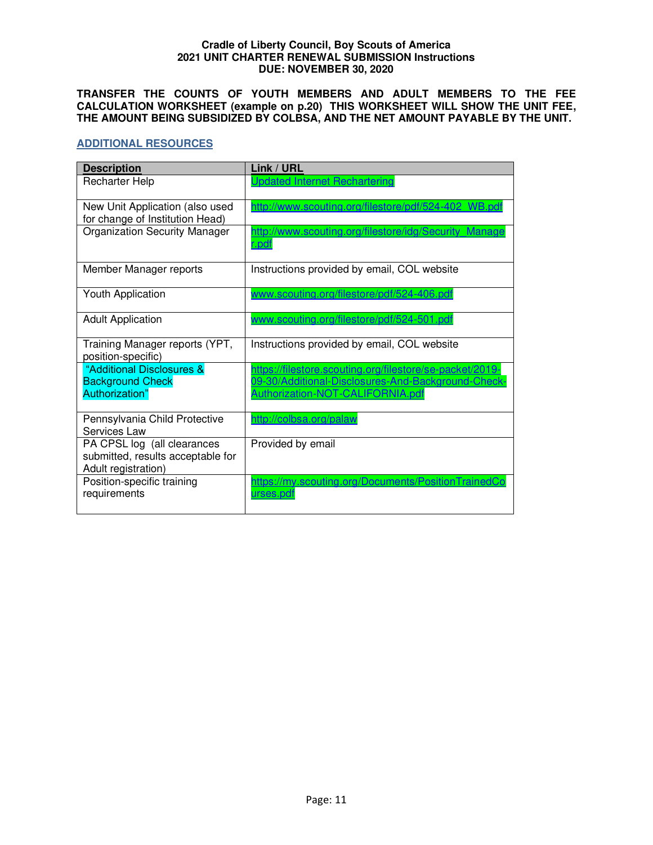**TRANSFER THE COUNTS OF YOUTH MEMBERS AND ADULT MEMBERS TO THE FEE CALCULATION WORKSHEET (example on p.20) THIS WORKSHEET WILL SHOW THE UNIT FEE, THE AMOUNT BEING SUBSIDIZED BY COLBSA, AND THE NET AMOUNT PAYABLE BY THE UNIT.** 

### <span id="page-10-0"></span>**ADDITIONAL RESOURCES**

| <b>Description</b>                                                                      | Link / URL                                                                                                     |
|-----------------------------------------------------------------------------------------|----------------------------------------------------------------------------------------------------------------|
| <b>Recharter Help</b>                                                                   | <b>Updated Internet Rechartering</b>                                                                           |
| New Unit Application (also used<br>for change of Institution Head)                      | http://www.scouting.org/filestore/pdf/524-402 WB.pdf                                                           |
| <b>Organization Security Manager</b>                                                    | http://www.scouting.org/filestore/idg/Security Manage<br>r.pdf                                                 |
| Member Manager reports                                                                  | Instructions provided by email, COL website                                                                    |
| <b>Youth Application</b>                                                                | www.scouting.org/filestore/pdf/524-406.pdf                                                                     |
| <b>Adult Application</b>                                                                | www.scouting.org/filestore/pdf/524-501.pdf                                                                     |
| Training Manager reports (YPT,<br>position-specific)                                    | Instructions provided by email, COL website                                                                    |
| "Additional Disclosures &<br><b>Background Check</b>                                    | https://filestore.scouting.org/filestore/se-packet/2019-<br>09-30/Additional-Disclosures-And-Background-Check- |
| Authorization"                                                                          | Authorization-NOT-CALIFORNIA.pdf                                                                               |
| Pennsylvania Child Protective<br>Services Law                                           | http://colbsa.org/palaw                                                                                        |
| PA CPSL log (all clearances<br>submitted, results acceptable for<br>Adult registration) | Provided by email                                                                                              |
| Position-specific training<br>requirements                                              | https://my.scouting.org/Documents/PositionTrainedCo<br>urses.pdf                                               |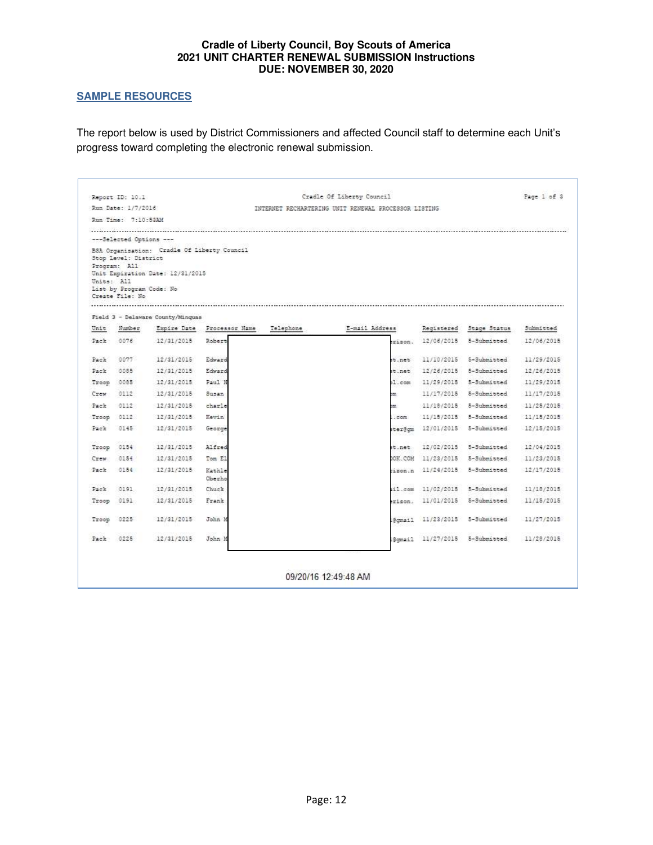## <span id="page-11-0"></span>**SAMPLE RESOURCES**

The report below is used by District Commissioners and affected Council staff to determine each Unit's progress toward completing the electronic renewal submission.

|            | Report ID: 10.1          |                                             |                  | Cradle Of Liberty Council                            |                |            |              |            |  |  |  |
|------------|--------------------------|---------------------------------------------|------------------|------------------------------------------------------|----------------|------------|--------------|------------|--|--|--|
|            | Run Date: 1/7/2016       |                                             |                  | INTERNET RECHARTERING UNIT RENEWAL PROCESSOR LISTING |                |            |              |            |  |  |  |
|            | Run Time: 7:10:53AM      |                                             |                  |                                                      |                |            |              |            |  |  |  |
|            |                          |                                             |                  |                                                      |                |            |              |            |  |  |  |
|            | ---Selected Options ---  |                                             |                  |                                                      |                |            |              |            |  |  |  |
|            | Stop Level: District     | BSA Organisation: Cradle Of Liberty Council |                  |                                                      |                |            |              |            |  |  |  |
|            | Program: All             | Unit Expiration Date: 12/31/2015            |                  |                                                      |                |            |              |            |  |  |  |
| Units: All |                          |                                             |                  |                                                      |                |            |              |            |  |  |  |
|            | List by Program Code: No |                                             |                  |                                                      |                |            |              |            |  |  |  |
|            | Create File: No          |                                             |                  |                                                      |                |            |              |            |  |  |  |
|            |                          | Field 3 - Delaware County/Minguas           |                  |                                                      |                |            |              |            |  |  |  |
| Unit       | Number                   | Empire Date                                 | Processor Name   | Telephone                                            | E-mail Address | Registered | Stage Status | Submitted  |  |  |  |
| Pack       | 0076                     | 12/31/2015                                  | Robert           |                                                      | rison.         | 12/06/2015 | 5-Submitted  | 12/06/2015 |  |  |  |
| Pack       | 0077                     | 12/31/2015                                  | Edward           |                                                      | t.net          | 11/10/2015 | 5-Submitted  | 11/29/2015 |  |  |  |
| Pack       | 0085                     | 12/31/2015                                  | Edward           |                                                      | t.net          | 12/26/2015 | 5-Submitted  | 12/26/2015 |  |  |  |
| Troop      | 0085                     | 12/31/2015                                  | Paul N           |                                                      | $1.$ com       | 11/29/2015 | 5-Submitted  | 11/29/2015 |  |  |  |
| Crew       | 0112                     | 12/31/2015                                  | Susan            |                                                      | m              | 11/17/2015 | 5-Submitted  | 11/17/2015 |  |  |  |
| Pack       | 0112                     | 12/31/2015                                  | charle           |                                                      | nn.            | 11/18/2015 | 5-Submitted  | 11/25/2015 |  |  |  |
| Troop      | 0112                     | 12/31/2015                                  | Kevin            |                                                      | .com           | 11/15/2015 | 5-Submitted  | 11/15/2015 |  |  |  |
| Pack       | 0145                     | 12/31/2015                                  | George           |                                                      | ter@cm         | 12/01/2015 | 5-Submitted  | 12/15/2015 |  |  |  |
| Troop      | 0154                     | 12/31/2015                                  | Alfred           |                                                      | t.net          | 12/02/2015 | 5-Submitted  | 12/04/2015 |  |  |  |
| Crew       | 0154                     | 12/31/2015                                  | Tom El           |                                                      | OOK.COM        | 11/23/2015 | 5-Submitted  | 11/23/2015 |  |  |  |
| Pack       | 0154                     | 12/31/2015                                  | Kathle<br>Oberho |                                                      | ison.n         | 11/24/2015 | 5-Submitted  | 12/17/2015 |  |  |  |
| Pack       | 0191                     | 12/31/2015                                  | Chuck            |                                                      | il.com         | 11/02/2015 | 5-Submitted  | 11/18/2015 |  |  |  |
| Troop      | 0191                     | 12/31/2015                                  | Frank            |                                                      | erison.        | 11/01/2015 | 5-Submitted  | 11/15/2015 |  |  |  |
| Troop      | 0225                     | 12/31/2015                                  | John M           |                                                      | @cmail         | 11/23/2015 | 5-Submitted  | 11/27/2015 |  |  |  |
|            |                          |                                             |                  |                                                      | Somail.        | 11/27/2015 | 5-Submitted  | 11/28/2015 |  |  |  |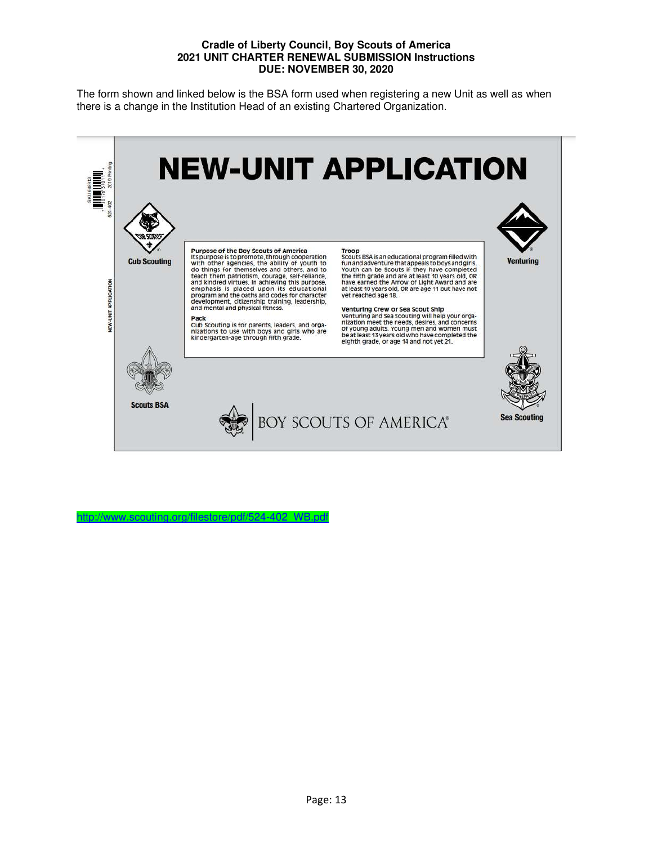The form shown and linked below is the BSA form used when registering a new Unit as well as when there is a change in the Institution Head of an existing Chartered Organization.



http://www.scouting.org/filestore/pdf/524-402\_WB.pd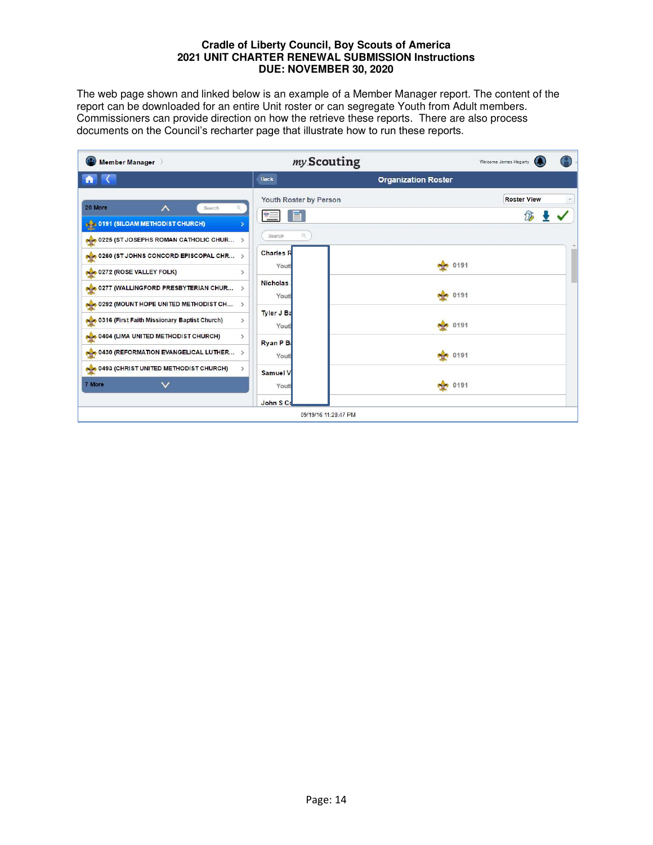The web page shown and linked below is an example of a Member Manager report. The content of the report can be downloaded for an entire Unit roster or can segregate Youth from Adult members. Commissioners can provide direction on how the retrieve these reports. There are also process documents on the Council's recharter page that illustrate how to run these reports.

| Member Manager                                                                                                                | my Scouting                                                           |                            | Welcome James Hegarty |
|-------------------------------------------------------------------------------------------------------------------------------|-----------------------------------------------------------------------|----------------------------|-----------------------|
|                                                                                                                               | <b>Back</b>                                                           | <b>Organization Roster</b> |                       |
| 20 More<br>∧<br>Search<br>0191 (SILOAM METHODIST CHURCH)<br>0225 (ST JOSEPHS ROMAN CATHOLIC CHUR >                            | Youth Roster by Person<br>$\ast =$<br>Search                          |                            | <b>Roster View</b>    |
| 0260 (ST JOHNS CONCORD EPISCOPAL CHR ><br>0272 (ROSE VALLEY FOLK)<br>0277 (WALLINGFORD PRESBYTERIAN CHUR >                    | <b>Charles R</b><br>Youtl<br>$\rightarrow$<br><b>Nicholas</b><br>Yout | 0191<br><b>No. 0191</b>    |                       |
| 0292 (MOUNT HOPE UNITED METHODIST CH ><br>0316 (First Faith Missionary Baptist Church)<br>0404 (LIMA UNITED METHODIST CHURCH) | Tyler J Ba<br>$\rightarrow$<br>Yout<br>$\rightarrow$                  | 0191                       |                       |
| 0430 (REFORMATION EVANGELICAL LUTHER ><br>0493 (CHRIST UNITED METHODIST CHURCH)                                               | Ryan P B<br>Yout<br>$\rightarrow$<br><b>Samuel V</b>                  | 60191                      |                       |
| 7 More<br>$\checkmark$                                                                                                        | Yout<br>John S Co                                                     | <b>No</b> 0191             |                       |
|                                                                                                                               | 09/19/16 11:28:47 PM                                                  |                            |                       |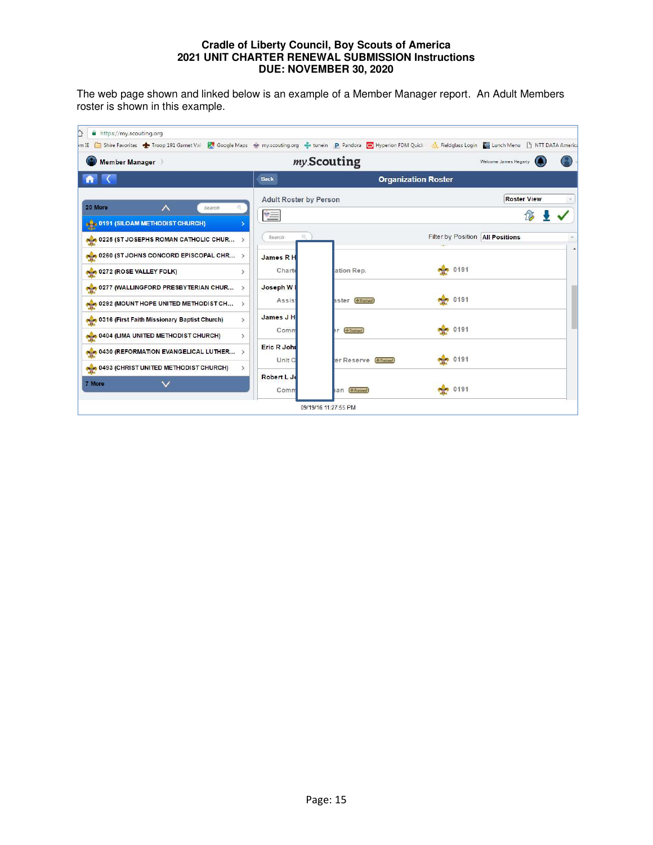The web page shown and linked below is an example of a Member Manager report. An Adult Members roster is shown in this example.

| Member Manager                                                |                               | my Scouting           |                                    | Welcome James Hegarty |
|---------------------------------------------------------------|-------------------------------|-----------------------|------------------------------------|-----------------------|
|                                                               | <b>Back</b>                   |                       | <b>Organization Roster</b>         |                       |
| $\wedge$<br>20 More<br>$\circ$<br>Search                      | <b>Adult Roster by Person</b> |                       |                                    | <b>Roster View</b>    |
| <b>8 8 2 0191 (SILOAM METHODIST CHURCH)</b>                   | $* =$                         |                       |                                    |                       |
| 0225 (ST JOSEPHS ROMAN CATHOLIC CHUR >                        | Q.<br>Search                  |                       | Filter by Position   All Positions |                       |
| 0260 (ST JOHNS CONCORD EPISCOPAL CHR >                        | James R H                     |                       |                                    |                       |
| 0272 (ROSE VALLEY FOLK)<br>$\mathbf{v}$                       | Charte                        | ation Rep.            | e ge<br>0191                       |                       |
| 0277 (WALLINGFORD PRESBYTERIAN CHUR<br>$\rightarrow$          | Joseph W                      |                       |                                    |                       |
| 4 0292 (MOUNT HOPE UNITED METHODIST CH >                      | <b>Assist</b>                 | aster (+Trained)      | 0191<br>والمجادة                   |                       |
| 0316 (First Faith Missionary Baptist Church)<br>$\rightarrow$ | James J H<br>Comm             | $+$ Trained<br>ħ۲     | 60191                              |                       |
| 0404 (LIMA UNITED METHODIST CHURCH)<br>$\,>\,$                | Eric R John                   |                       |                                    |                       |
| 4 0430 (REFORMATION EVANGELICAL LUTHER >                      | Unit C                        | er Reserve (+Trained) | 0191                               |                       |
| 0493 (CHRIST UNITED METHODIST CHURCH)<br>$\geq$               | Robert L Jo                   |                       |                                    |                       |
| 7 More                                                        | Comm                          | an (+Trained)         | $\frac{1}{2}$ 0191                 |                       |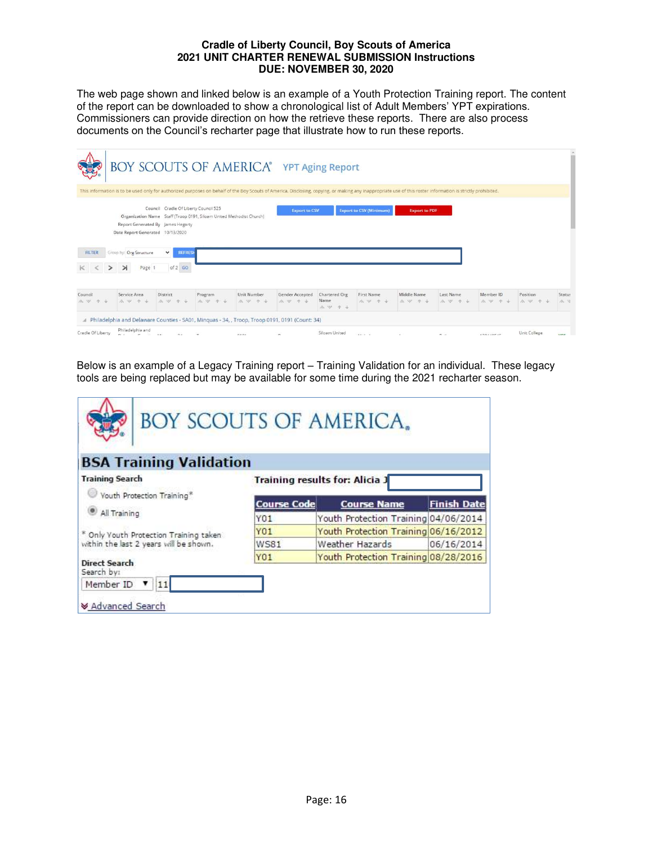The web page shown and linked below is an example of a Youth Protection Training report. The content of the report can be downloaded to show a chronological list of Adult Members' YPT expirations. Commissioners can provide direction on how the retrieve these reports. There are also process documents on the Council's recharter page that illustrate how to run these reports.

|                    |                                                                                        |                                                                                                                             |                                                                      |                        | BOY SCOUTS OF AMERICA® YPT Aging Report                                                                                                                                                                     |                                  |                                |                          |                     |                   |                       |                 |
|--------------------|----------------------------------------------------------------------------------------|-----------------------------------------------------------------------------------------------------------------------------|----------------------------------------------------------------------|------------------------|-------------------------------------------------------------------------------------------------------------------------------------------------------------------------------------------------------------|----------------------------------|--------------------------------|--------------------------|---------------------|-------------------|-----------------------|-----------------|
|                    |                                                                                        |                                                                                                                             |                                                                      |                        | This information is to be used only for authorized purposes on behalf of the Boy Scouts of America. Disclosing, copying, or making any inappropriate use of this roster information is strictly prohibited. |                                  |                                |                          |                     |                   |                       |                 |
| FILTER<br>$\geq$   | Date Report Generated 10/13/2020<br>Group by: Org Structure<br>$\rightarrow$<br>Page 1 | Council Cradle Of Liberty Council 525<br>Report Generated By James Hegarty<br>$\checkmark$<br><b>REFRESH</b><br>of $2$ $60$ | Organization Name Staff (Troop 0191, Siloam United Methodist Church) |                        | <b>Export to CSV</b>                                                                                                                                                                                        |                                  | <b>Export to CSV (Minimum)</b> | <b>Export to PDF</b>     |                     |                   |                       |                 |
| Council<br>A W 4 + | Service Area<br>A W + +                                                                | <b>District</b><br>水甲牛山                                                                                                     | Program<br>A. W. 4 +                                                 | Unit Number<br>A W 4 5 | Gender Accepted<br>A W + 4                                                                                                                                                                                  | Chartered Org<br>Name<br>A W + + | First Name<br>A W + +          | Middle Name<br>A. W. 4 + | Last Name<br>水 岁 个山 | Member ID<br>水甲十五 | Position<br>A. W. 4 & | Status<br>10.10 |
|                    |                                                                                        |                                                                                                                             |                                                                      |                        | A Philadelphia and Delaware Counties - SA01, Minquas - 34, , Troop, Troop 0191, 0191 (Count: 34)                                                                                                            |                                  |                                |                          |                     |                   |                       |                 |
| Cradle Of Liberty  | and the state                                                                          | 7.4                                                                                                                         |                                                                      | nene                   | $\sim$                                                                                                                                                                                                      | Siloam United                    | Arrest Mill                    | $\sim$                   | $m - i$             | $4704$ $477$ $47$ | Unit College          | <b>MEE</b>      |

Below is an example of a Legacy Training report – Training Validation for an individual. These legacy tools are being replaced but may be available for some time during the 2021 recharter season.

| <b>BOY SCOUTS OF AMERICA.</b>          |                    |                                       |                    |
|----------------------------------------|--------------------|---------------------------------------|--------------------|
| <b>BSA Training Validation</b>         |                    |                                       |                    |
| <b>Training Search</b>                 |                    | <b>Training results for: Alicia J</b> |                    |
| Youth Protection Training*             | <b>Course Code</b> | <b>Course Name</b>                    | <b>Finish Date</b> |
| All Training                           | Y01                | Youth Protection Training 04/06/2014  |                    |
| * Only Youth Protection Training taken | Y01                | Youth Protection Training 06/16/2012  |                    |
| within the last 2 years will be shown. | <b>WS81</b>        | Weather Hazards                       | 06/16/2014         |
| <b>Direct Search</b><br>Search by:     | Y01                | Youth Protection Training 08/28/2016  |                    |
| Member ID                              |                    |                                       |                    |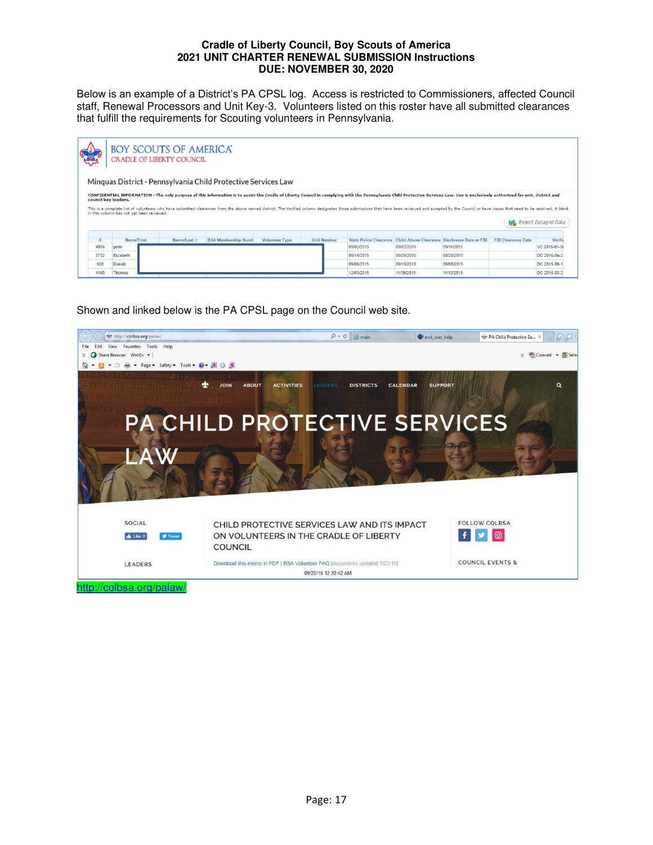Below is an example of a District's PA CPSL log. Access is restricted to Commissioners, affected Council staff, Renewal Processors and Unit Key-3. Volunteers listed on this roster have all submitted clearances that fulfill the requirements for Scouting volunteers in Pennsylvania.

|      | <b>BOY SCOUTS OF AMERICA</b><br><b>CRADLE OF LIBERTY COUNCIL</b> |             |                                                                                                                                                                                                                                                                                                |                       |                    |                               |                                              |            |                           |                      |
|------|------------------------------------------------------------------|-------------|------------------------------------------------------------------------------------------------------------------------------------------------------------------------------------------------------------------------------------------------------------------------------------------------|-----------------------|--------------------|-------------------------------|----------------------------------------------|------------|---------------------------|----------------------|
|      | council key leaders.                                             |             | Minguas District - Pennsylvania Child Protective Services Law<br>CONFIDENTIAL INFORMATION - The only purpose of this information is to assist the Cradle of Liberty Council in complying with the Pennsylvania Child Protective Services Law. Use is exclusively authorized for unit, district |                       |                    |                               |                                              |            |                           |                      |
|      |                                                                  |             |                                                                                                                                                                                                                                                                                                |                       |                    |                               |                                              |            |                           |                      |
|      | in this column has not yet been reviewed.                        |             | This is a complete list of volunteers who have submitted clearances from the above named district. The Verified column designates those submissions that have been reviewed and accepted by the Council or have issues that ne                                                                 |                       |                    |                               |                                              |            |                           | Export Datagrid Data |
|      | Name/First                                                       | Name/Last + | <b>BSA Membership Numl</b>                                                                                                                                                                                                                                                                     | <b>Volunteer Type</b> | <b>Unit Number</b> | <b>State Police Clearance</b> | Child Abuse Clearance Disclosure Date or FBI |            | <b>FBI Clearance Date</b> | Verifi               |
| 4956 | peter                                                            |             |                                                                                                                                                                                                                                                                                                |                       |                    | 09/02/2015                    | 09/02/2015                                   | 09/11/2015 |                           | VC 2016-01-01        |
| 5732 | Elizabeth                                                        |             |                                                                                                                                                                                                                                                                                                |                       |                    | 08/19/2015                    | 08/26/2015                                   | 08/20/2015 |                           | DC 2016-04-2         |
| 928  | Donald                                                           |             |                                                                                                                                                                                                                                                                                                |                       |                    | 09/08/2015                    | 09/10/2015                                   | 09/08/2015 |                           | DC 2015-09-1         |

Shown and linked below is the PA CPSL page on the Council web site.

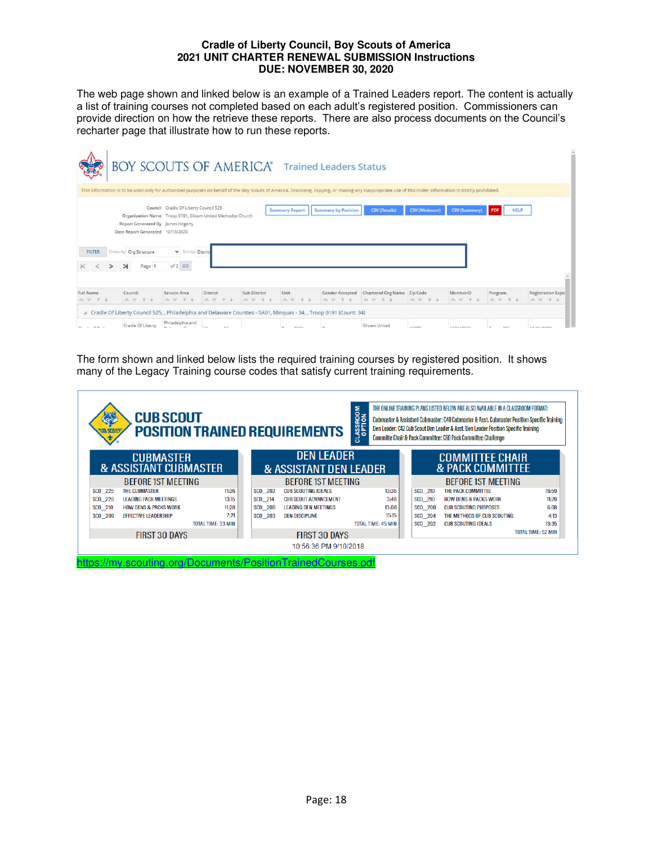The web page shown and linked below is an example of a Trained Leaders report. The content is actually a list of training courses not completed based on each adult's registered position. Commissioners can provide direction on how the retrieve these reports. There are also process documents on the Council's recharter page that illustrate how to run these reports.

|                                  | BOY SCOUTS OF AMERICA® Trained Leaders Status                                                                                                                                             |                                                                          |                         |                       |                       |                              |                                                                                                                                                                                                             |                      |                               |                    |                                      |
|----------------------------------|-------------------------------------------------------------------------------------------------------------------------------------------------------------------------------------------|--------------------------------------------------------------------------|-------------------------|-----------------------|-----------------------|------------------------------|-------------------------------------------------------------------------------------------------------------------------------------------------------------------------------------------------------------|----------------------|-------------------------------|--------------------|--------------------------------------|
|                                  |                                                                                                                                                                                           |                                                                          |                         |                       |                       |                              | This information is to be used only for authorized purposes on behalf of the Boy Scouts of America. Disclosing, copying, or making any inappropriate use of this roster information is strictly prohibited. |                      |                               |                    |                                      |
| <b>FILTER</b>                    | Organization Name Troop 0191, Siloam United Methodist Church<br>Report Generated By James Hegarty<br>Date Report Generated 10/13/2020<br>Group by: Org Structure<br>$\rightarrow$<br>Page | Council Cradle Of Liberty Council 525<br>Sort by: Distric<br>$of 2$ $GO$ |                         |                       | <b>Summary Report</b> | <b>Summary by Position</b>   | <b>CSV</b> (Details)                                                                                                                                                                                        | <b>CSV</b> (Minimum) | <b>CSV (Summary)</b>          | <b>HELP</b><br>PDF |                                      |
|                                  |                                                                                                                                                                                           |                                                                          |                         |                       |                       |                              |                                                                                                                                                                                                             |                      |                               |                    |                                      |
| Full Name<br>$A, W, A, \Delta$   | Council<br>10. 10.                                                                                                                                                                        | Service Area<br>$A \vee A$                                               | <b>District</b><br>n. v | Sub-District<br>办 岁 个 | Unit<br>A W + +       | Gender Accepted<br>A. W. 4 + | Chartered Org Name Zip Code<br>A 9 4 4                                                                                                                                                                      | W W T                | MemberID<br>$\Lambda_1$ . $Q$ | Program<br>み ツ キ   | <b>Registration Expir</b><br>A W + + |
| A.                               | Cradle Of Liberty Council 525, , Philadelphia and Delaware Counties - SA01, Minguas - 34, , Troop 0191 (Count: 34)                                                                        |                                                                          |                         |                       |                       |                              |                                                                                                                                                                                                             |                      |                               |                    |                                      |
| $\alpha$ .<br><br>. The $\alpha$ | Cradle Of Liberty                                                                                                                                                                         | Philadelphia and                                                         | $\sim$<br><b>ALA</b>    |                       | <b>DEPE</b>           |                              | Siloam United                                                                                                                                                                                               | APARA                | <b>SARASREE</b>               | min a<br>$\sim$    | ATLONE ISSUED                        |

The form shown and linked below lists the required training courses by registered position. It shows many of the Legacy Training course codes that satisfy current training requirements.

| <b>RE</b><br><b>SIA SCOV</b><br>Ť. | THE ONLINE TRAINING PLANS LISTED BELOW ARE ALSO AVAILABLE IN A CLASSROOM FORMAT:<br>CLASSROOM<br><b>CUB SCOUT</b><br>Cubmaster & Assistant Cubmaster: C40 Cubmaster & Asst. Cubmaster Position Specific Training<br>Den Leader: C42 Cub Scout Den Leader & Asst. Den Leader Position Specific Training<br><b>POSITION TRAINED REQUIREMENTS</b><br>Committe Chair & Pack Committee: C60 Pack Committee Challenge |                           |               |                                             |                           |                           |                                                       |                           |
|------------------------------------|-----------------------------------------------------------------------------------------------------------------------------------------------------------------------------------------------------------------------------------------------------------------------------------------------------------------------------------------------------------------------------------------------------------------|---------------------------|---------------|---------------------------------------------|---------------------------|---------------------------|-------------------------------------------------------|---------------------------|
|                                    | <b>CUBMASTER</b><br>& ASSISTANT CUBMASTER                                                                                                                                                                                                                                                                                                                                                                       |                           |               | <b>DEN LEADER</b><br>& ASSISTANT DEN LEADER |                           |                           | <b>COMMITTEE CHAIR</b><br><b>&amp; PACK COMMITTEE</b> |                           |
|                                    | <b>BEFORE 1ST MEETING</b>                                                                                                                                                                                                                                                                                                                                                                                       |                           |               | <b>BEFORE IST MEETING</b>                   |                           | <b>BEFORE 1ST MEETING</b> |                                                       |                           |
| SCO 225                            | <b>THE CUBMASTER</b>                                                                                                                                                                                                                                                                                                                                                                                            | 11:36                     | SCO 202       | <b>CUB SCOUTING IDEALS</b>                  | 13:35                     | SCO 219                   | THE PACK COMMITTEE                                    | 16:59                     |
| SCO 226                            | <b>LEADING PACK MEETINGS</b>                                                                                                                                                                                                                                                                                                                                                                                    | 13:15                     | SCO 214       | <b>CUB SCOUT ADVANCEMENT</b>                | 3:46                      | SCO 210                   | <b>HOW DENS &amp; PACKS WORK</b>                      | 11:28                     |
| SCO 210                            | <b>HOW DENS &amp; PACKS WORK</b>                                                                                                                                                                                                                                                                                                                                                                                | 11:28                     | SCO 208       | <b>LEADING DEN MEETINGS</b>                 | 13:08                     | SCO 200                   | <b>CUB SCOUTING PURPOSES</b>                          | 6:08                      |
| SCO 209                            | <b>EFFECTIVE LEADERSHIP</b>                                                                                                                                                                                                                                                                                                                                                                                     | 7:21                      | SCO 203       | <b>DEN DISCIPLINE</b>                       | 15:15                     | SCO 204                   | THE METHODS OF CUB SCOUTING                           | 4:13                      |
|                                    |                                                                                                                                                                                                                                                                                                                                                                                                                 | <b>TOTAL TIME: 33 MIN</b> |               |                                             | <b>TOTAL TIME: 45 MIN</b> | SCO 202                   | <b>CUB SCOUTING IDEALS</b>                            | 13:35                     |
|                                    | <b>FIRST 30 DAYS</b>                                                                                                                                                                                                                                                                                                                                                                                            |                           | FIRST 30 DAYS |                                             |                           |                           |                                                       | <b>TOTAL TIME: 52 MIN</b> |
|                                    |                                                                                                                                                                                                                                                                                                                                                                                                                 |                           |               | 10:56:36 PM 9/10/2018                       |                           |                           |                                                       |                           |
|                                    | https://my.scouting.org/Documents/PositionTrainedCourses.pdf                                                                                                                                                                                                                                                                                                                                                    |                           |               |                                             |                           |                           |                                                       |                           |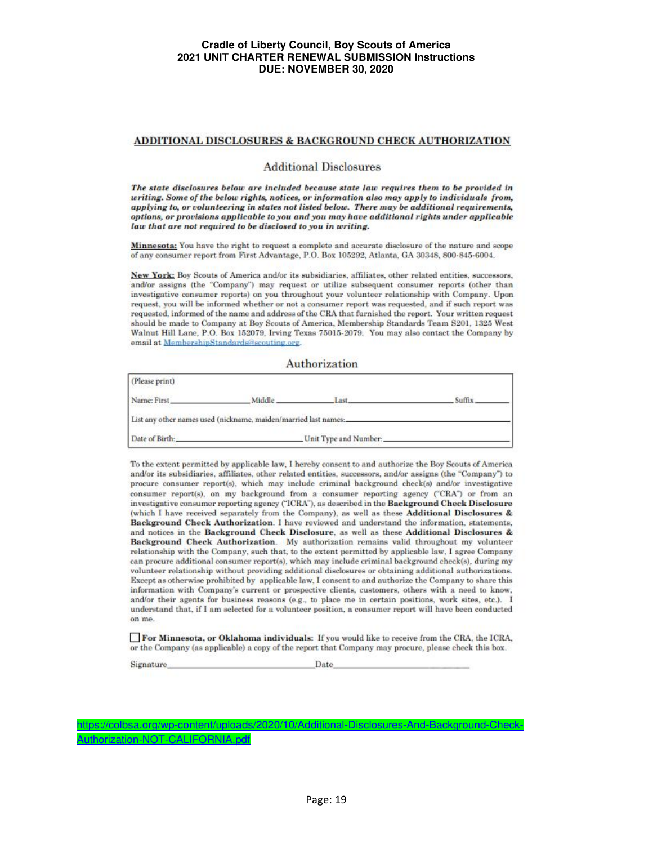#### ADDITIONAL DISCLOSURES & BACKGROUND CHECK AUTHORIZATION

#### **Additional Disclosures**

The state disclosures below are included because state law requires them to be provided in writing. Some of the below rights, notices, or information also may apply to individuals from, applying to, or volunteering in states not listed below. There may be additional requirements, options, or provisions applicable to you and you may have additional rights under applicable law that are not required to be disclosed to you in writing.

Minnesota: You have the right to request a complete and accurate disclosure of the nature and scope of any consumer report from First Advantage, P.O. Box 105292, Atlanta, GA 30348, 800-845-6004.

New York: Boy Scouts of America and/or its subsidiaries, affiliates, other related entities, successors, and/or assigns (the "Company") may request or utilize subsequent consumer reports (other than investigative consumer reports) on you throughout your volunteer relationship with Company. Upon request, you will be informed whether or not a consumer report was requested, and if such report was requested, informed of the name and address of the CRA that furnished the report. Your written request should be made to Company at Boy Scouts of America, Membership Standards Team S201, 1325 West Walnut Hill Lane, P.O. Box 152079, Irving Texas 75015-2079. You may also contact the Company by email at MembershipStandards@scouting.org.

#### Authorization

| (Please print)                                                  |                       |              |        |  |  |  |  |
|-----------------------------------------------------------------|-----------------------|--------------|--------|--|--|--|--|
| Name: First                                                     | Middle.               | set<br>----- | Suffix |  |  |  |  |
| List any other names used (nickname, maiden/married last names: |                       |              |        |  |  |  |  |
| Date of Birth:                                                  | Unit Type and Number: |              |        |  |  |  |  |

To the extent permitted by applicable law, I hereby consent to and authorize the Boy Scouts of America and/or its subsidiaries, affiliates, other related entities, successors, and/or assigns (the "Company") to procure consumer report(s), which may include criminal background check(s) and/or investigative consumer report(s), on my background from a consumer reporting agency ("CRA") or from an investigative consumer reporting agency ("ICRA"), as described in the Background Check Disclosure (which I have received separately from the Company), as well as these Additional Disclosures & Background Check Authorization. I have reviewed and understand the information, statements, and notices in the Background Check Disclosure, as well as these Additional Disclosures & Background Check Authorization. My authorization remains valid throughout my volunteer relationship with the Company, such that, to the extent permitted by applicable law, I agree Company can procure additional consumer report(s), which may include criminal background check(s), during my volunteer relationship without providing additional disclosures or obtaining additional authorizations. Except as otherwise prohibited by applicable law, I consent to and authorize the Company to share this information with Company's current or prospective clients, customers, others with a need to know, and/or their agents for business reasons (e.g., to place me in certain positions, work sites, etc.). I understand that, if I am selected for a volunteer position, a consumer report will have been conducted on me.

For Minnesota, or Oklahoma individuals: If you would like to receive from the CRA, the ICRA, or the Company (as applicable) a copy of the report that Company may procure, please check this box.

Signature

Date

https://colbsa.org/wp-content/uploads/2020/10/Additional-Disclosures-And-Background-Check-Authorization-NOT-CALIFORNIA.pd